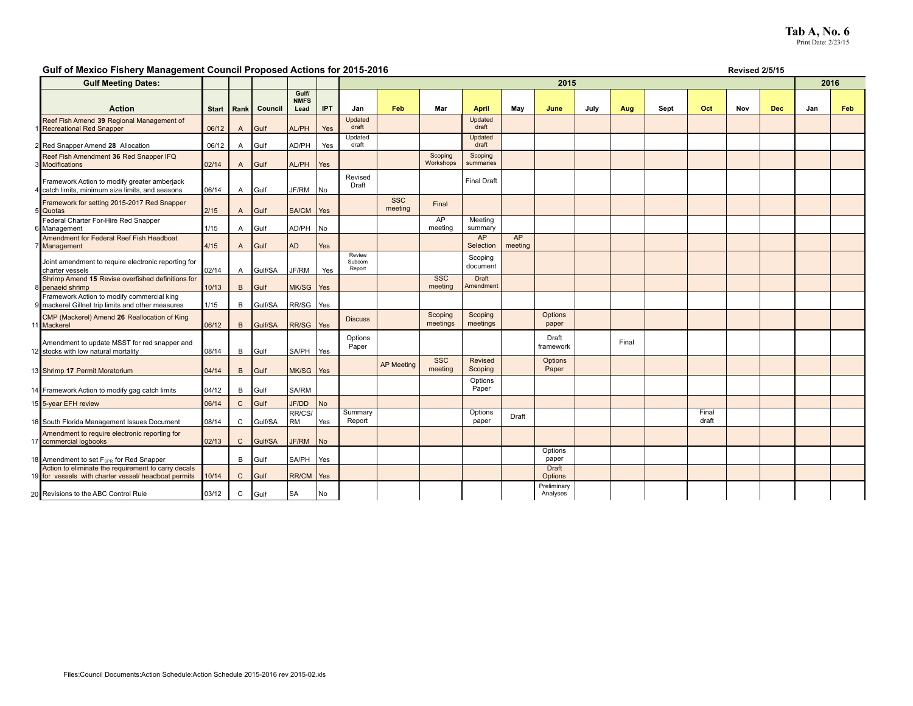# **Tab A, No. 6**<br>Print Date: 2/23/15

### Gulf of Mexico Fishery Management Council Proposed Actions for 2015-2016 **Revised 2015-2016** Revised 2/5/15

| <b>Gulf Meeting Dates:</b>                                                                                  |              |                |         |                      |            | 2015                       |                       |                       |                           |               |                         |      |       |      |                |     | 2016       |     |     |
|-------------------------------------------------------------------------------------------------------------|--------------|----------------|---------|----------------------|------------|----------------------------|-----------------------|-----------------------|---------------------------|---------------|-------------------------|------|-------|------|----------------|-----|------------|-----|-----|
|                                                                                                             |              |                |         | Gulf/<br><b>NMFS</b> |            |                            |                       |                       |                           |               |                         |      |       |      |                |     |            |     |     |
| <b>Action</b>                                                                                               | <b>Start</b> | Rank           | Council | Lead                 | <b>IPT</b> | Jan                        | Feb                   | Mar                   | <b>April</b>              | May           | June                    | July | Aug   | Sept | Oct            | Nov | <b>Dec</b> | Jan | Feb |
| Reef Fish Amend 39 Regional Management of<br><b>Recreational Red Snapper</b>                                | 06/12        | A              | Gulf    | AL/PH                | Yes        | Updated<br>draft           |                       |                       | Updated<br>draft          |               |                         |      |       |      |                |     |            |     |     |
| 2 Red Snapper Amend 28 Allocation                                                                           | 06/12        | Α              | Gulf    | AD/PH                | Yes        | Updated<br>draft           |                       |                       | Updated<br>draft          |               |                         |      |       |      |                |     |            |     |     |
| Reef Fish Amendment 36 Red Snapper IFQ<br><b>3</b> Modifications                                            | 02/14        | $\mathsf{A}$   | Gulf    | AL/PH                | Yes        |                            |                       | Scoping<br>Workshops  | Scoping<br>summaries      |               |                         |      |       |      |                |     |            |     |     |
| Framework Action to modify greater amberjack<br>catch limits, minimum size limits, and seasons              | 06/14        | Α              | Gulf    | JF/RM                | No         | Revised<br>Draft           |                       |                       | <b>Final Draft</b>        |               |                         |      |       |      |                |     |            |     |     |
| Framework for setting 2015-2017 Red Snapper<br><b>Quotas</b>                                                | 2/15         | $\mathsf{A}$   | Gulf    | <b>SA/CM</b>         | Yes        |                            | <b>SSC</b><br>meeting | Final                 |                           |               |                         |      |       |      |                |     |            |     |     |
| Federal Charter For-Hire Red Snapper<br>6 Management                                                        | 1/15         | Α              | Gulf    | AD/PH                | No         |                            |                       | AP<br>meeting         | Meeting<br>summary        |               |                         |      |       |      |                |     |            |     |     |
| Amendment for Federal Reef Fish Headboat<br>Management                                                      | 4/15         | $\overline{A}$ | Gulf    | <b>AD</b>            | Yes        |                            |                       |                       | AP<br>Selection           | AP<br>meeting |                         |      |       |      |                |     |            |     |     |
| Joint amendment to require electronic reporting for<br>charter vessels                                      | 02/14        | A              | Gulf/SA | JF/RM                | Yes        | Review<br>Subcom<br>Report |                       |                       | Scoping<br>document       |               |                         |      |       |      |                |     |            |     |     |
| Shrimp Amend 15 Revise overfished definitions for<br><b>B</b> penaeid shrimp                                | 10/13        | B              | Gulf    | <b>MK/SG</b>         | Yes        |                            |                       | <b>SSC</b><br>meeting | <b>Draft</b><br>Amendment |               |                         |      |       |      |                |     |            |     |     |
| Framework Action to modify commercial king<br>9 mackerel Gillnet trip limits and other measures             | 1/15         | B              | Gulf/SA | RR/SG                | Yes        |                            |                       |                       |                           |               |                         |      |       |      |                |     |            |     |     |
| CMP (Mackerel) Amend 26 Reallocation of King<br><b>Mackerel</b>                                             | 06/12        | B              | Gulf/SA | RR/SG                | Yes        | <b>Discuss</b>             |                       | Scoping<br>meetings   | Scoping<br>meetings       |               | Options<br>paper        |      |       |      |                |     |            |     |     |
| Amendment to update MSST for red snapper and<br>2 stocks with low natural mortality                         | 08/14        | B              | Gulf    | <b>SA/PH</b>         | Yes        | Options<br>Paper           |                       |                       |                           |               | Draft<br>framework      |      | Final |      |                |     |            |     |     |
| 3 Shrimp 17 Permit Moratorium                                                                               | 04/14        | B              | Gulf    | <b>MK/SG</b>         | Yes        |                            | <b>AP</b> Meeting     | <b>SSC</b><br>meeting | Revised<br>Scoping        |               | Options<br>Paper        |      |       |      |                |     |            |     |     |
| 14 Framework Action to modify gag catch limits                                                              | 04/12        | B              | Gulf    | <b>SA/RM</b>         |            |                            |                       |                       | Options<br>Paper          |               |                         |      |       |      |                |     |            |     |     |
| 15 5-year EFH review                                                                                        | 06/14        | $\mathsf{C}$   | Gulf    | JF/DD                | <b>No</b>  |                            |                       |                       |                           |               |                         |      |       |      |                |     |            |     |     |
| 16 South Florida Management Issues Document                                                                 | 08/14        | $\mathsf{C}$   | Gulf/SA | RR/CS/<br>lrm        | Yes        | Summary<br>Report          |                       |                       | Options<br>paper          | Draft         |                         |      |       |      | Final<br>draft |     |            |     |     |
| Amendment to require electronic reporting for<br>commercial logbooks                                        | 02/13        | $\mathsf{C}$   | Gulf/SA | JF/RM                | No         |                            |                       |                       |                           |               |                         |      |       |      |                |     |            |     |     |
| 18 Amendment to set F <sub>SPR</sub> for Red Snapper                                                        |              | B              | Gulf    | <b>SA/PH</b>         | Yes        |                            |                       |                       |                           |               | Options<br>paper        |      |       |      |                |     |            |     |     |
| Action to eliminate the requirement to carry decals<br>19 for vessels with charter vessel/ headboat permits | 10/14        | $\mathsf{C}$   | Gulf    | RR/CM                | Yes        |                            |                       |                       |                           |               | <b>Draft</b><br>Options |      |       |      |                |     |            |     |     |
| 20 Revisions to the ABC Control Rule                                                                        | 03/12        | C              | Gulf    | <b>SA</b>            | No         |                            |                       |                       |                           |               | Preliminary<br>Analyses |      |       |      |                |     |            |     |     |